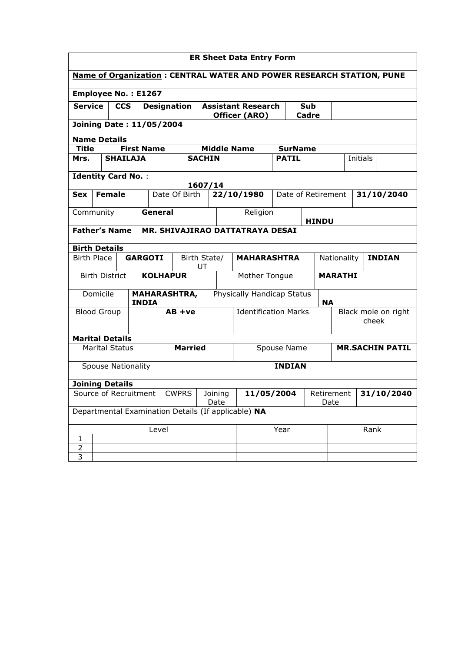| <b>ER Sheet Data Entry Form</b>                                      |                                                     |                           |                   |                    |                                 |                     |                                  |                    |                                 |                             |                    |                              |                |  |          |                        |
|----------------------------------------------------------------------|-----------------------------------------------------|---------------------------|-------------------|--------------------|---------------------------------|---------------------|----------------------------------|--------------------|---------------------------------|-----------------------------|--------------------|------------------------------|----------------|--|----------|------------------------|
| Name of Organization: CENTRAL WATER AND POWER RESEARCH STATION, PUNE |                                                     |                           |                   |                    |                                 |                     |                                  |                    |                                 |                             |                    |                              |                |  |          |                        |
| <b>Employee No.: E1267</b>                                           |                                                     |                           |                   |                    |                                 |                     |                                  |                    |                                 |                             |                    |                              |                |  |          |                        |
| <b>Service</b>                                                       |                                                     | <b>CCS</b>                |                   | <b>Designation</b> |                                 |                     | <b>Assistant Research</b><br>Sub |                    |                                 |                             |                    |                              |                |  |          |                        |
|                                                                      |                                                     |                           |                   |                    | <b>Joining Date: 11/05/2004</b> |                     |                                  |                    | Officer (ARO)                   |                             |                    | Cadre                        |                |  |          |                        |
| <b>Name Details</b>                                                  |                                                     |                           |                   |                    |                                 |                     |                                  |                    |                                 |                             |                    |                              |                |  |          |                        |
| <b>Title</b>                                                         |                                                     |                           | <b>First Name</b> |                    |                                 |                     |                                  |                    | <b>Middle Name</b>              |                             | <b>SurName</b>     |                              |                |  |          |                        |
| Mrs.                                                                 |                                                     | <b>SHAILAJA</b>           |                   |                    |                                 | <b>SACHIN</b>       |                                  |                    |                                 |                             | <b>PATIL</b>       |                              |                |  | Initials |                        |
| <b>Identity Card No.:</b>                                            |                                                     |                           |                   |                    |                                 |                     |                                  |                    |                                 |                             |                    |                              |                |  |          |                        |
| <b>Sex</b>                                                           |                                                     | <b>Female</b>             |                   |                    | Date Of Birth                   | 1607/14             |                                  |                    | 22/10/1980                      |                             | Date of Retirement |                              |                |  |          | 31/10/2040             |
| Community                                                            |                                                     |                           |                   | General            |                                 |                     |                                  |                    | Religion                        |                             |                    |                              |                |  |          |                        |
|                                                                      |                                                     |                           |                   |                    |                                 |                     |                                  |                    |                                 |                             |                    |                              | <b>HINDU</b>   |  |          |                        |
|                                                                      |                                                     | <b>Father's Name</b>      |                   |                    |                                 |                     |                                  |                    | MR. SHIVAJIRAO DATTATRAYA DESAI |                             |                    |                              |                |  |          |                        |
| <b>Birth Details</b>                                                 |                                                     |                           |                   |                    |                                 |                     |                                  |                    |                                 |                             |                    |                              |                |  |          |                        |
| <b>Birth Place</b>                                                   |                                                     |                           | <b>GARGOTI</b>    |                    |                                 | Birth State/<br>UT  |                                  |                    | <b>MAHARASHTRA</b>              |                             |                    |                              | Nationality    |  |          | <b>INDIAN</b>          |
|                                                                      |                                                     | <b>Birth District</b>     |                   |                    | <b>KOLHAPUR</b>                 |                     |                                  |                    | Mother Tongue                   |                             |                    |                              | <b>MARATHI</b> |  |          |                        |
|                                                                      | Domicile                                            |                           | <b>INDIA</b>      |                    |                                 | <b>MAHARASHTRA,</b> |                                  |                    | Physically Handicap Status      |                             |                    | <b>NA</b>                    |                |  |          |                        |
| <b>Blood Group</b>                                                   |                                                     |                           |                   | $AB + ve$          |                                 |                     |                                  |                    |                                 | <b>Identification Marks</b> |                    | Black mole on right<br>cheek |                |  |          |                        |
|                                                                      |                                                     | <b>Marital Details</b>    |                   |                    |                                 |                     |                                  |                    |                                 |                             |                    |                              |                |  |          |                        |
|                                                                      |                                                     | <b>Marital Status</b>     |                   |                    |                                 | <b>Married</b>      |                                  |                    |                                 |                             | Spouse Name        |                              |                |  |          | <b>MR.SACHIN PATIL</b> |
|                                                                      |                                                     | <b>Spouse Nationality</b> |                   |                    |                                 |                     |                                  |                    |                                 |                             | <b>INDIAN</b>      |                              |                |  |          |                        |
|                                                                      |                                                     | <b>Joining Details</b>    |                   |                    |                                 |                     |                                  |                    |                                 |                             |                    |                              |                |  |          |                        |
| Source of Recruitment<br><b>CWPRS</b>                                |                                                     |                           |                   |                    | 11/05/2004<br>Joining<br>Date   |                     |                                  | Retirement<br>Date |                                 |                             |                    |                              | 31/10/2040     |  |          |                        |
|                                                                      | Departmental Examination Details (If applicable) NA |                           |                   |                    |                                 |                     |                                  |                    |                                 |                             |                    |                              |                |  |          |                        |
| Level                                                                |                                                     |                           |                   |                    |                                 |                     |                                  | Year               |                                 |                             | Rank               |                              |                |  |          |                        |
| 1                                                                    |                                                     |                           |                   |                    |                                 |                     |                                  |                    |                                 |                             |                    |                              |                |  |          |                        |
| $\overline{2}$<br>$\overline{3}$                                     |                                                     |                           |                   |                    |                                 |                     |                                  |                    |                                 |                             |                    |                              |                |  |          |                        |
|                                                                      |                                                     |                           |                   |                    |                                 |                     |                                  |                    |                                 |                             |                    |                              |                |  |          |                        |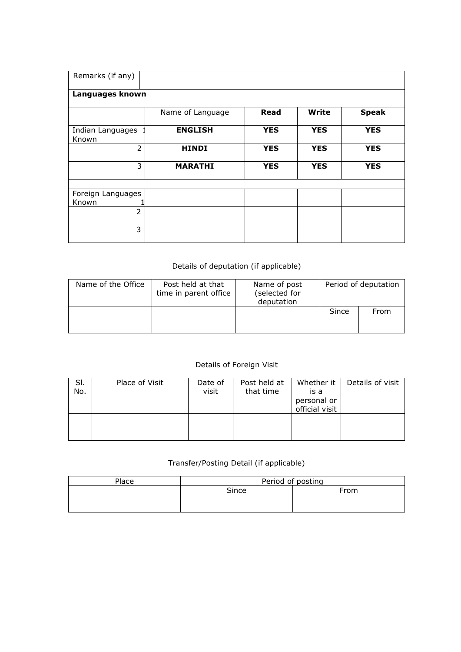| Remarks (if any)           |                  |            |            |              |
|----------------------------|------------------|------------|------------|--------------|
| Languages known            |                  |            |            |              |
|                            | Name of Language | Read       | Write      | <b>Speak</b> |
| Indian Languages<br>Known  | <b>ENGLISH</b>   | <b>YES</b> | <b>YES</b> | <b>YES</b>   |
| $\overline{2}$             | <b>HINDI</b>     | <b>YES</b> | <b>YES</b> | <b>YES</b>   |
| 3                          | <b>MARATHI</b>   | <b>YES</b> | <b>YES</b> | <b>YES</b>   |
|                            |                  |            |            |              |
| Foreign Languages<br>Known |                  |            |            |              |
| 2                          |                  |            |            |              |
| 3                          |                  |            |            |              |

## Details of deputation (if applicable)

| Name of the Office | Post held at that<br>time in parent office | Name of post<br>(selected for<br>deputation | Period of deputation |      |  |  |
|--------------------|--------------------------------------------|---------------------------------------------|----------------------|------|--|--|
|                    |                                            |                                             | Since                | From |  |  |

## Details of Foreign Visit

| SI.<br>No. | Place of Visit | Date of<br>visit | Post held at<br>that time | Whether it<br>is a<br>personal or<br>official visit | Details of visit |
|------------|----------------|------------------|---------------------------|-----------------------------------------------------|------------------|
|            |                |                  |                           |                                                     |                  |

## Transfer/Posting Detail (if applicable)

| Place | Period of posting |      |  |  |  |  |
|-------|-------------------|------|--|--|--|--|
|       | Since             | From |  |  |  |  |
|       |                   |      |  |  |  |  |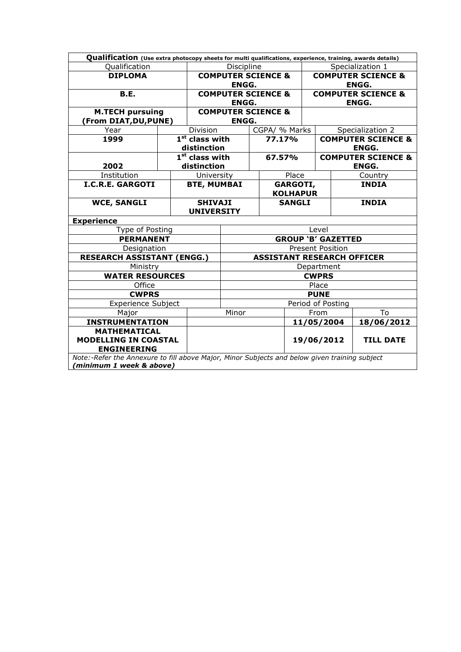| Qualification (Use extra photocopy sheets for multi qualifications, experience, training, awards details) |                                               |                                     |                                   |  |                                               |                               |              |                               |  |  |
|-----------------------------------------------------------------------------------------------------------|-----------------------------------------------|-------------------------------------|-----------------------------------|--|-----------------------------------------------|-------------------------------|--------------|-------------------------------|--|--|
| Qualification                                                                                             | Discipline                                    |                                     |                                   |  | Specialization 1                              |                               |              |                               |  |  |
| <b>DIPLOMA</b>                                                                                            |                                               | <b>COMPUTER SCIENCE &amp;</b>       |                                   |  |                                               | <b>COMPUTER SCIENCE &amp;</b> |              |                               |  |  |
|                                                                                                           | <b>ENGG.</b>                                  |                                     |                                   |  | <b>ENGG.</b>                                  |                               |              |                               |  |  |
| B.E.                                                                                                      | <b>COMPUTER SCIENCE &amp;</b><br><b>ENGG.</b> |                                     |                                   |  | <b>COMPUTER SCIENCE &amp;</b><br><b>ENGG.</b> |                               |              |                               |  |  |
| <b>M.TECH pursuing</b>                                                                                    |                                               | <b>COMPUTER SCIENCE &amp;</b>       |                                   |  |                                               |                               |              |                               |  |  |
| (From DIAT, DU, PUNE)                                                                                     |                                               |                                     | <b>ENGG.</b>                      |  |                                               |                               |              |                               |  |  |
| Year                                                                                                      |                                               | Division                            |                                   |  | CGPA/ % Marks                                 |                               |              | Specialization 2              |  |  |
| 1999                                                                                                      |                                               | $1st$ class with                    |                                   |  | 77.17%                                        |                               |              | <b>COMPUTER SCIENCE &amp;</b> |  |  |
|                                                                                                           |                                               | distinction                         |                                   |  |                                               |                               |              | <b>ENGG.</b>                  |  |  |
|                                                                                                           |                                               | $1st$ class with                    |                                   |  | 67.57%                                        |                               |              | <b>COMPUTER SCIENCE &amp;</b> |  |  |
| 2002                                                                                                      |                                               | distinction                         |                                   |  |                                               |                               | <b>ENGG.</b> |                               |  |  |
| Institution                                                                                               |                                               | University                          |                                   |  | Place                                         |                               | Country      |                               |  |  |
| <b>I.C.R.E. GARGOTI</b>                                                                                   |                                               | <b>BTE, MUMBAI</b>                  |                                   |  | <b>GARGOTI,</b>                               |                               | <b>INDIA</b> |                               |  |  |
|                                                                                                           |                                               |                                     |                                   |  | <b>KOLHAPUR</b>                               |                               |              |                               |  |  |
| <b>WCE, SANGLI</b>                                                                                        |                                               | <b>SHIVAJI</b><br><b>UNIVERSITY</b> |                                   |  | <b>SANGLI</b>                                 |                               |              | <b>INDIA</b>                  |  |  |
| <b>Experience</b>                                                                                         |                                               |                                     |                                   |  |                                               |                               |              |                               |  |  |
| Type of Posting                                                                                           |                                               |                                     | Level                             |  |                                               |                               |              |                               |  |  |
| <b>PERMANENT</b>                                                                                          |                                               |                                     | <b>GROUP 'B' GAZETTED</b>         |  |                                               |                               |              |                               |  |  |
| Designation                                                                                               |                                               |                                     | <b>Present Position</b>           |  |                                               |                               |              |                               |  |  |
| <b>RESEARCH ASSISTANT (ENGG.)</b>                                                                         |                                               |                                     | <b>ASSISTANT RESEARCH OFFICER</b> |  |                                               |                               |              |                               |  |  |
| Ministry                                                                                                  |                                               |                                     | Department                        |  |                                               |                               |              |                               |  |  |
| <b>WATER RESOURCES</b>                                                                                    |                                               |                                     | <b>CWPRS</b>                      |  |                                               |                               |              |                               |  |  |
| Office                                                                                                    |                                               |                                     | Place                             |  |                                               |                               |              |                               |  |  |
| <b>CWPRS</b>                                                                                              |                                               |                                     | <b>PUNE</b>                       |  |                                               |                               |              |                               |  |  |
| <b>Experience Subject</b>                                                                                 |                                               |                                     | Period of Posting                 |  |                                               |                               |              |                               |  |  |
| Major                                                                                                     | Minor                                         |                                     |                                   |  | From                                          |                               | To           |                               |  |  |
| <b>INSTRUMENTATION</b>                                                                                    |                                               |                                     |                                   |  |                                               |                               | 11/05/2004   | 18/06/2012                    |  |  |
| <b>MATHEMATICAL</b>                                                                                       |                                               |                                     |                                   |  |                                               |                               |              |                               |  |  |
| <b>MODELLING IN COASTAL</b>                                                                               |                                               |                                     |                                   |  | 19/06/2012                                    | <b>TILL DATE</b>              |              |                               |  |  |
| <b>ENGINEERING</b>                                                                                        |                                               |                                     |                                   |  |                                               |                               |              |                               |  |  |
| Note:-Refer the Annexure to fill above Major, Minor Subjects and below given training subject             |                                               |                                     |                                   |  |                                               |                               |              |                               |  |  |
| (minimum 1 week & above)                                                                                  |                                               |                                     |                                   |  |                                               |                               |              |                               |  |  |